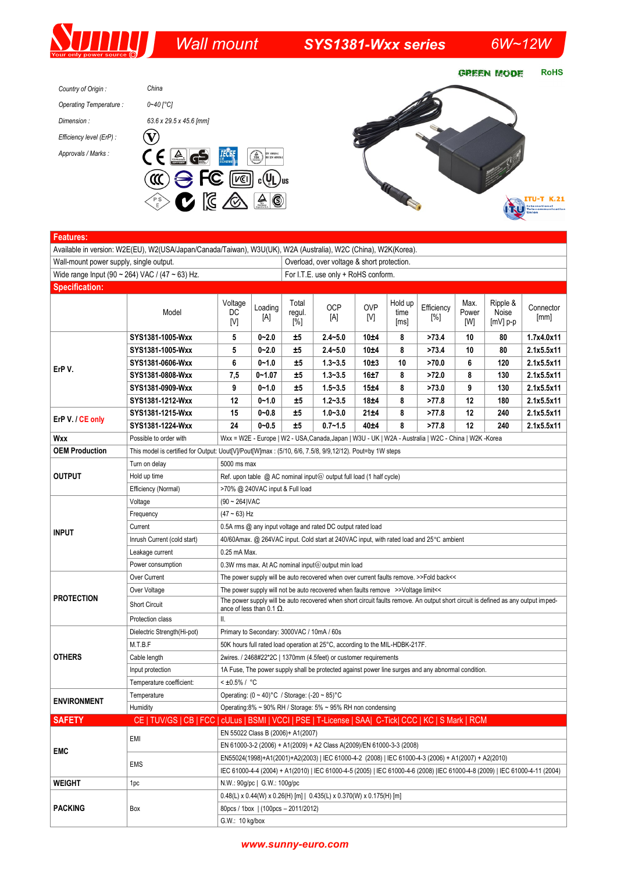# *Wall mount SYS1381-Wxx series 6W~12W*

**RoHS GREEN MODE** *China Country of Origin : 0~40 [°C] Operating Temperature : Dimension : 63.6 x 29.5 x 45.6 [mm]*  $\left(\widehat{\mathbf{V}}\right)$ *Efficiency level (ErP) : Approvals / Marks :* **ITU-T K.21** ITU **HILL** 

| <b>Features:</b>                                |                                                                                                                |                                                                                                                                                                       |                |                                            |                   |                   |                         |                      |                      |                                 |                   |  |
|-------------------------------------------------|----------------------------------------------------------------------------------------------------------------|-----------------------------------------------------------------------------------------------------------------------------------------------------------------------|----------------|--------------------------------------------|-------------------|-------------------|-------------------------|----------------------|----------------------|---------------------------------|-------------------|--|
|                                                 | Available in version: W2E(EU), W2(USA/Japan/Canada/Taiwan), W3U(UK), W2A (Australia), W2C (China), W2K(Korea). |                                                                                                                                                                       |                |                                            |                   |                   |                         |                      |                      |                                 |                   |  |
| Wall-mount power supply, single output.         |                                                                                                                |                                                                                                                                                                       |                | Overload, over voltage & short protection. |                   |                   |                         |                      |                      |                                 |                   |  |
| Wide range Input (90 ~ 264) VAC / (47 ~ 63) Hz. |                                                                                                                |                                                                                                                                                                       |                | For I.T.E. use only + RoHS conform.        |                   |                   |                         |                      |                      |                                 |                   |  |
| <b>Specification:</b>                           |                                                                                                                |                                                                                                                                                                       |                |                                            |                   |                   |                         |                      |                      |                                 |                   |  |
|                                                 | Model                                                                                                          | Voltage<br>DC<br>[V]                                                                                                                                                  | Loading<br>[A] | Total<br>regul.<br>[%]                     | <b>OCP</b><br>[A] | <b>OVP</b><br>[V] | Hold up<br>time<br>[ms] | Efficiency<br>$[\%]$ | Max.<br>Power<br>[W] | Ripple &<br>Noise<br>$[mV]$ p-p | Connector<br>[mm] |  |
| ErP V.                                          | SYS1381-1005-Wxx                                                                                               | 5                                                                                                                                                                     | $0 - 2.0$      | ±5                                         | $2.4 - 5.0$       | 10±4              | 8                       | >73.4                | 10                   | 80                              | 1.7x4.0x11        |  |
|                                                 | SYS1381-1005-Wxx                                                                                               | 5                                                                                                                                                                     | $0 - 2.0$      | ±5                                         | $2.4 - 5.0$       | 10±4              | 8                       | >73.4                | 10                   | 80                              | 2.1x5.5x11        |  |
|                                                 | SYS1381-0606-Wxx                                                                                               | 6                                                                                                                                                                     | $0 - 1.0$      | ±5                                         | $1.3 - 3.5$       | 10±3              | 10                      | >70.0                | 6                    | 120                             | 2.1x5.5x11        |  |
|                                                 | SYS1381-0808-Wxx                                                                                               | 7,5                                                                                                                                                                   | $0 - 1.07$     | ±5                                         | $1.3 - 3.5$       | 16±7              | 8                       | >72.0                | 8                    | 130                             | 2.1x5.5x11        |  |
|                                                 | SYS1381-0909-Wxx                                                                                               | 9                                                                                                                                                                     | $0 - 1.0$      | ±5                                         | $1.5 - 3.5$       | 15±4              | 8                       | >73.0                | 9                    | 130                             | 2.1x5.5x11        |  |
|                                                 | SYS1381-1212-Wxx                                                                                               | 12                                                                                                                                                                    | $0 - 1.0$      | ±5                                         | $1.2 - 3.5$       | 18±4              | 8                       | >77.8                | 12                   | 180                             | 2.1x5.5x11        |  |
| ErP V. / CE only                                | SYS1381-1215-Wxx                                                                                               | 15                                                                                                                                                                    | $0 - 0.8$      | ±5                                         | $1.0 - 3.0$       | 21±4              | 8                       | >77.8                | 12                   | 240                             | 2.1x5.5x11        |  |
|                                                 | SYS1381-1224-Wxx                                                                                               | 24                                                                                                                                                                    | $0 - 0.5$      | ±5                                         | $0.7 - 1.5$       | 40±4              | 8                       | >77.8                | 12                   | 240                             | 2.1x5.5x11        |  |
| Wxx                                             | Possible to order with                                                                                         | Wxx = W2E - Europe   W2 - USA, Canada, Japan   W3U - UK   W2A - Australia   W2C - China   W2K - Korea                                                                 |                |                                            |                   |                   |                         |                      |                      |                                 |                   |  |
| <b>OEM Production</b>                           |                                                                                                                | This model is certified for Output: Uout[V]/Pout[W]max: (5/10, 6/6, 7.5/8, 9/9,12/12). Pout=by 1W steps                                                               |                |                                            |                   |                   |                         |                      |                      |                                 |                   |  |
| <b>OUTPUT</b>                                   | Turn on delay                                                                                                  | 5000 ms max                                                                                                                                                           |                |                                            |                   |                   |                         |                      |                      |                                 |                   |  |
|                                                 | Hold up time                                                                                                   | Ref. upon table $@$ AC nominal input $@$ output full load (1 half cycle)                                                                                              |                |                                            |                   |                   |                         |                      |                      |                                 |                   |  |
|                                                 | Efficiency (Normal)                                                                                            | >70% @ 240VAC input & Full load                                                                                                                                       |                |                                            |                   |                   |                         |                      |                      |                                 |                   |  |
| <b>INPUT</b>                                    | Voltage                                                                                                        | $(90 \sim 264)$ VAC                                                                                                                                                   |                |                                            |                   |                   |                         |                      |                      |                                 |                   |  |
|                                                 | Frequency                                                                                                      | $(47 - 63)$ Hz                                                                                                                                                        |                |                                            |                   |                   |                         |                      |                      |                                 |                   |  |
|                                                 | Current                                                                                                        | 0.5A rms @ any input voltage and rated DC output rated load                                                                                                           |                |                                            |                   |                   |                         |                      |                      |                                 |                   |  |
|                                                 | Inrush Current (cold start)                                                                                    | 40/60Amax. @ 264VAC input. Cold start at 240VAC input, with rated load and 25°C ambient                                                                               |                |                                            |                   |                   |                         |                      |                      |                                 |                   |  |
|                                                 | Leakage current                                                                                                | 0.25 mA Max.                                                                                                                                                          |                |                                            |                   |                   |                         |                      |                      |                                 |                   |  |
|                                                 | Power consumption                                                                                              | 0.3W rms max. At AC nominal input@output min load                                                                                                                     |                |                                            |                   |                   |                         |                      |                      |                                 |                   |  |
| <b>PROTECTION</b>                               | Over Current                                                                                                   | The power supply will be auto recovered when over current faults remove. >>Fold back<<                                                                                |                |                                            |                   |                   |                         |                      |                      |                                 |                   |  |
|                                                 | Over Voltage                                                                                                   | The power supply will not be auto recovered when faults remove >>Voltage limit<<                                                                                      |                |                                            |                   |                   |                         |                      |                      |                                 |                   |  |
|                                                 | <b>Short Circuit</b>                                                                                           | The power supply will be auto recovered when short circuit faults remove. An output short circuit is defined as any output imped-<br>ance of less than 0.1 $\Omega$ . |                |                                            |                   |                   |                         |                      |                      |                                 |                   |  |
|                                                 | Protection class                                                                                               | Ш.                                                                                                                                                                    |                |                                            |                   |                   |                         |                      |                      |                                 |                   |  |
| <b>OTHERS</b>                                   | Dielectric Strength(Hi-pot)                                                                                    | Primary to Secondary: 3000VAC / 10mA / 60s                                                                                                                            |                |                                            |                   |                   |                         |                      |                      |                                 |                   |  |
|                                                 | M.T.B.F                                                                                                        | 50K hours full rated load operation at 25°C, according to the MIL-HDBK-217F.                                                                                          |                |                                            |                   |                   |                         |                      |                      |                                 |                   |  |
|                                                 | Cable length                                                                                                   | 2wires. / 2468#22*2C   1370mm (4.5feet) or customer requirements                                                                                                      |                |                                            |                   |                   |                         |                      |                      |                                 |                   |  |
|                                                 | Input protection                                                                                               | 1A Fuse, The power supply shall be protected against power line surges and any abnormal condition.                                                                    |                |                                            |                   |                   |                         |                      |                      |                                 |                   |  |
|                                                 | Temperature coefficient:                                                                                       | $< 10.5\% / °C$                                                                                                                                                       |                |                                            |                   |                   |                         |                      |                      |                                 |                   |  |
| <b>ENVIRONMENT</b>                              | Temperature                                                                                                    | Operating: $(0 \sim 40)$ °C / Storage: $(-20 \sim 85)$ °C                                                                                                             |                |                                            |                   |                   |                         |                      |                      |                                 |                   |  |
|                                                 | Humidity                                                                                                       | Operating:8% ~ 90% RH / Storage: 5% ~ 95% RH non condensing                                                                                                           |                |                                            |                   |                   |                         |                      |                      |                                 |                   |  |
| <b>SAFETY</b>                                   | CE   TUV/GS   CB   FCC   cULus   BSMI   VCCI   PSE   T-License   SAA  C-Tick  CCC   KC   S Mark   RCM          |                                                                                                                                                                       |                |                                            |                   |                   |                         |                      |                      |                                 |                   |  |
| <b>EMC</b>                                      | EMI                                                                                                            | EN 55022 Class B (2006)+ A1(2007)                                                                                                                                     |                |                                            |                   |                   |                         |                      |                      |                                 |                   |  |
|                                                 |                                                                                                                | EN 61000-3-2 (2006) + A1(2009) + A2 Class A(2009)/EN 61000-3-3 (2008)                                                                                                 |                |                                            |                   |                   |                         |                      |                      |                                 |                   |  |
|                                                 | EMS                                                                                                            | EN55024(1998)+A1(2001)+A2(2003)   IEC 61000-4-2 (2008)   IEC 61000-4-3 (2006) + A1(2007) + A2(2010)                                                                   |                |                                            |                   |                   |                         |                      |                      |                                 |                   |  |
|                                                 |                                                                                                                | IEC 61000-4-4 (2004) + A1(2010)   IEC 61000-4-5 (2005)   IEC 61000-4-6 (2008)  IEC 61000-4-8 (2009)   IEC 61000-4-11 (2004)                                           |                |                                            |                   |                   |                         |                      |                      |                                 |                   |  |
| <b>WEIGHT</b>                                   | 1pc                                                                                                            | N.W.: 90g/pc   G.W.: 100g/pc                                                                                                                                          |                |                                            |                   |                   |                         |                      |                      |                                 |                   |  |
| <b>PACKING</b>                                  | Box                                                                                                            | 0.48(L) x 0.44(W) x 0.26(H) [m]   0.435(L) x 0.370(W) x 0.175(H) [m]                                                                                                  |                |                                            |                   |                   |                         |                      |                      |                                 |                   |  |
|                                                 |                                                                                                                | 80pcs / 1box   (100pcs - 2011/2012)                                                                                                                                   |                |                                            |                   |                   |                         |                      |                      |                                 |                   |  |
|                                                 |                                                                                                                | G.W.: 10 kg/box                                                                                                                                                       |                |                                            |                   |                   |                         |                      |                      |                                 |                   |  |

#### *www.sunny-euro.com*